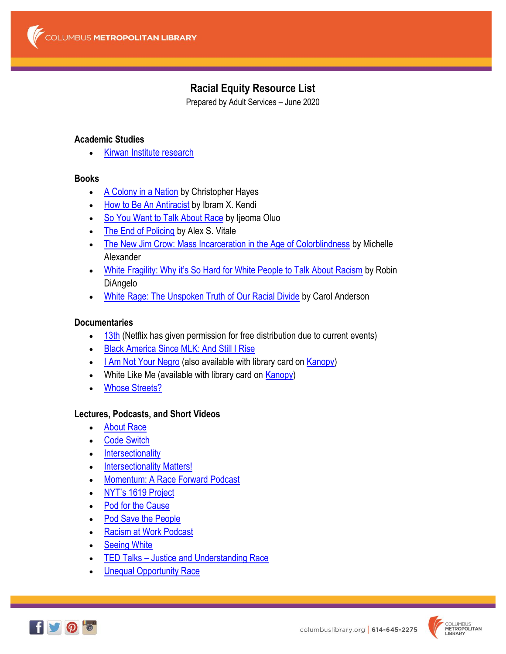# **Racial Equity Resource List**

Prepared by Adult Services – June 2020

#### **Academic Studies**

**Kirwan Institute [research](http://kirwaninstitute.osu.edu/researchandstrategicinitiatives/)** 

#### **Books**

- [A Colony in a Nation](https://cml.bibliocommons.com/item/show/2235917105) by Christopher Hayes
- [How to Be An Antiracist](https://cml.bibliocommons.com/item/show/3233336105) by Ibram X. Kendi
- [So You Want to Talk About Race](https://cml.bibliocommons.com/item/show/2497383105) by Ijeoma Oluo
- [The End of Policing](https://cml.bibliocommons.com/item/show/2276773105) by Alex S. Vitale
- [The New Jim Crow: Mass Incarceration in the Age of Colorblindness](https://cml.bibliocommons.com/item/show/3312825105) by Michelle Alexander
- . [White Fragility: Why it's So Hard for White People to Talk About Racism](https://cml.bibliocommons.com/item/show/2972780105) by Robin DiAngelo
- [White Rage: The Unspoken Truth of Our Racial Divide](https://cml.bibliocommons.com/item/show/2129534105) by Carol Anderson

# **Documentaries**

- [13th](https://www.youtube.com/watch?v=krfcq5pF8u8) (Netflix has given permission for free distribution due to current events)
- **[Black America Since MLK: And Still I Rise](https://cml.bibliocommons.com/item/show/2217004105)**
- . [I Am Not Your Negro](https://cml.bibliocommons.com/item/show/2250222105) (also available with library card on [Kanopy\)](https://columbuslibrary.kanopy.com/)
- White Like Me (available with library card on **Kanopy)**
- [Whose Streets?](https://cml.bibliocommons.com/item/show/2498760105)

# **Lectures, Podcasts, and Short Videos**

- [About Race](https://www.showaboutrace.com/)
- [Code Switch](https://www.npr.org/sections/codeswitch/)
- [Intersectionality](https://www.youtube.com/watch?time_continue=294&v=akOe5-UsQ2o)
- [Intersectionality Matters!](https://aapf.org/podcast)
- [Momentum: A Race Forward Podcast](https://www.raceforward.org/media/podcast/momentum-race-forward-podcast)
- NYT's 1[619 Project](https://www.nytimes.com/2020/01/23/podcasts/1619-podcast.html)
- [Pod for the Cause](https://civilrights.org/podforthecause/)
- [Pod Save the People](https://crooked.com/podcast-series/pod-save-the-people/)
- [Racism at Work Podcast](https://www.stitcher.com/podcast/pearn-kandola/racism-at-work-podcast)
- [Seeing White](https://www.sceneonradio.org/seeing-white/)
- TED Talks [Justice and Understanding Race](https://www.ted.com/topics/race)
- [Unequal Opportunity Race](https://www.youtube.com/watch?v=eBb5TgOXgNY&feature=youtu.be&list=UU1v-P-40Uj0LE2CgcVrEYUA)